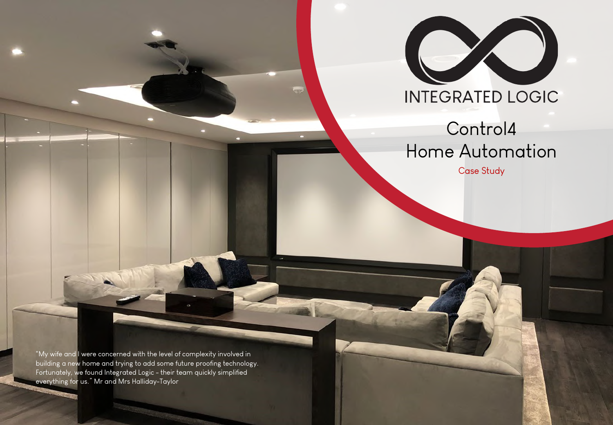

# Control4 Home Automation

Case Study

"My wife and I were concerned with the level of complexity involved in building a new home and trying to add some future proofing technology. Fortunately, we found Integrated Logic - their team quickly simplified everything for us." Mr and Mrs Halliday-Taylor